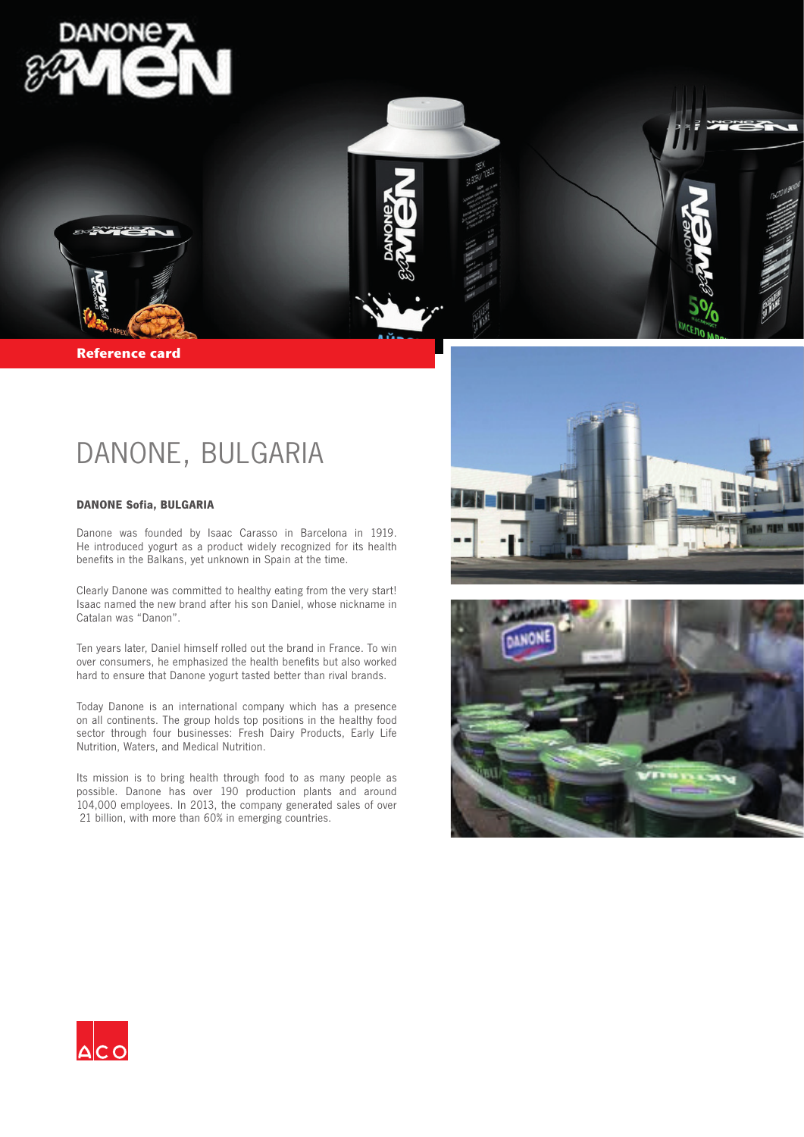

**Reference card** 

## DANONE, BULGARIA

## **DANONE Sofia, BULGARIA**

Danone was founded by Isaac Carasso in Barcelona in 1919. He introduced yogurt as a product widely recognized for its health benefits in the Balkans, yet unknown in Spain at the time.

Clearly Danone was committed to healthy eating from the very start! Isaac named the new brand after his son Daniel, whose nickname in Catalan was "Danon".

Ten years later, Daniel himself rolled out the brand in France. To win over consumers, he emphasized the health benefits but also worked hard to ensure that Danone yogurt tasted better than rival brands.

Today Danone is an international company which has a presence on all continents. The group holds top positions in the healthy food sector through four businesses: Fresh Dairy Products, Early Life Nutrition, Waters, and Medical Nutrition.

Its mission is to bring health through food to as many people as possible. Danone has over 190 production plants and around 104,000 employees. In 2013, the company generated sales of over €21 billion, with more than 60% in emerging countries.